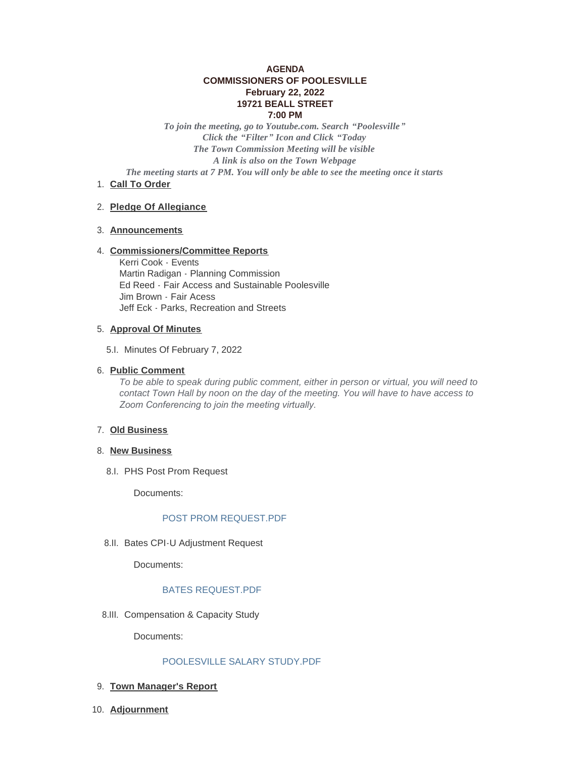# **AGENDA COMMISSIONERS OF POOLESVILLE February 22, 2022 19721 BEALL STREET 7:00 PM**

*To join the meeting, go to Youtube.com. Search "Poolesville" Click the "Filter" Icon and Click "Today The Town Commission Meeting will be visible A link is also on the Town Webpage The meeting starts at 7 PM. You will only be able to see the meeting once it starts*

1. Call To Order

## **Pledge Of Allegiance** 2.

## **Announcements** 3.

## **Commissioners/Committee Reports** 4.

Kerri Cook - Events Martin Radigan - Planning Commission Ed Reed - Fair Access and Sustainable Poolesville Jim Brown - Fair Acess Jeff Eck - Parks, Recreation and Streets

#### **Approval Of Minutes** 5.

5.I. Minutes Of February 7, 2022

## **Public Comment** 6.

*To be able to speak during public comment, either in person or virtual, you will need to contact Town Hall by noon on the day of the meeting. You will have to have access to Zoom Conferencing to join the meeting virtually.* 

#### **Old Business** 7.

- 8. New Business
	- 8.I. PHS Post Prom Request

Documents:

## POST PROM REQUEST PDF

8.II. Bates CPI-U Adjustment Request

Documents:

## [BATES REQUEST.PDF](https://www.poolesvillemd.gov/AgendaCenter/ViewFile/Item/4113?fileID=6636)

8.III. Compensation & Capacity Study

Documents:

## [POOLESVILLE SALARY STUDY.PDF](https://www.poolesvillemd.gov/AgendaCenter/ViewFile/Item/4101?fileID=6635)

- **Town Manager's Report** 9.
- **Adjournment** 10.